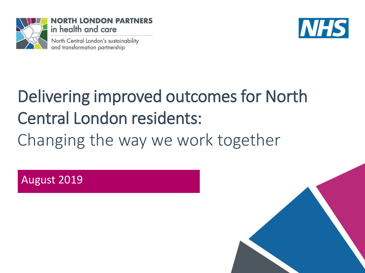

NORTH LONDON PARTNERS in health and care

North Central London's sustainability and transformation partnership



# Delivering improved outcomes for North Central London residents: Changing the way we work together

August 2019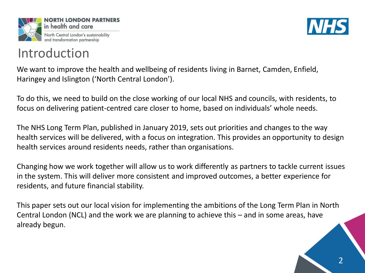





We want to improve the health and wellbeing of residents living in Barnet, Camden, Enfield, Haringey and Islington ('North Central London').

To do this, we need to build on the close working of our local NHS and councils, with residents, to focus on delivering patient-centred care closer to home, based on individuals' whole needs.

The NHS Long Term Plan, published in January 2019, sets out priorities and changes to the way health services will be delivered, with a focus on integration. This provides an opportunity to design health services around residents needs, rather than organisations.

Changing how we work together will allow us to work differently as partners to tackle current issues in the system. This will deliver more consistent and improved outcomes, a better experience for residents, and future financial stability.

This paper sets out our local vision for implementing the ambitions of the Long Term Plan in North Central London (NCL) and the work we are planning to achieve this – and in some areas, have already begun.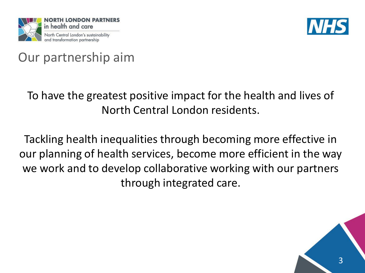



### Our partnership aim

### To have the greatest positive impact for the health and lives of North Central London residents.

Tackling health inequalities through becoming more effective in our planning of health services, become more efficient in the way we work and to develop collaborative working with our partners through integrated care.

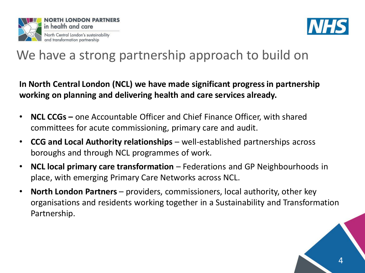



### We have a strong partnership approach to build on

**In North Central London (NCL) we have made significant progress in partnership working on planning and delivering health and care services already.**

- **NCL CCGs –** one Accountable Officer and Chief Finance Officer, with shared committees for acute commissioning, primary care and audit.
- **CCG and Local Authority relationships**  well-established partnerships across boroughs and through NCL programmes of work.
- **NCL local primary care transformation**  Federations and GP Neighbourhoods in place, with emerging Primary Care Networks across NCL.
- **North London Partners** providers, commissioners, local authority, other key organisations and residents working together in a Sustainability and Transformation Partnership.

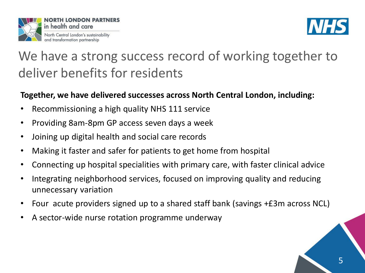



## We have a strong success record of working together to deliver benefits for residents

### **Together, we have delivered successes across North Central London, including:**

- Recommissioning a high quality NHS 111 service
- Providing 8am-8pm GP access seven days a week
- Joining up digital health and social care records
- Making it faster and safer for patients to get home from hospital
- Connecting up hospital specialities with primary care, with faster clinical advice
- Integrating neighborhood services, focused on improving quality and reducing unnecessary variation
- Four acute providers signed up to a shared staff bank (savings +£3m across NCL)
- A sector-wide nurse rotation programme underway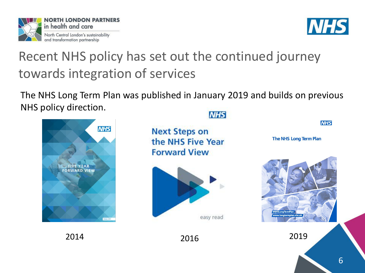



**NHS** 

## Recent NHS policy has set out the continued journey towards integration of services

The NHS Long Term Plan was published in January 2019 and builds on previous NHS policy direction.



**NHS** 

**Next Steps on** the NHS Five Year **Forward View** 



**The NHS Long Term Plan** 

2014 2016 2019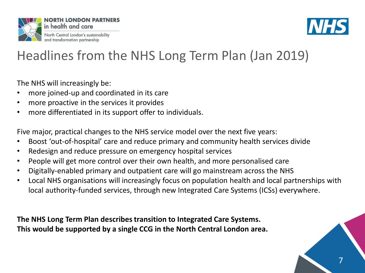



# Headlines from the NHS Long Term Plan (Jan 2019)

The NHS will increasingly be:

- more joined-up and coordinated in its care
- more proactive in the services it provides
- more differentiated in its support offer to individuals.

Five major, practical changes to the NHS service model over the next five years:

- Boost 'out-of-hospital' care and reduce primary and community health services divide
- Redesign and reduce pressure on emergency hospital services
- People will get more control over their own health, and more personalised care
- Digitally-enabled primary and outpatient care will go mainstream across the NHS
- Local NHS organisations will increasingly focus on population health and local partnerships with local authority-funded services, through new Integrated Care Systems (ICSs) everywhere.

**The NHS Long Term Plan describes transition to Integrated Care Systems. This would be supported by a single CCG in the North Central London area.**

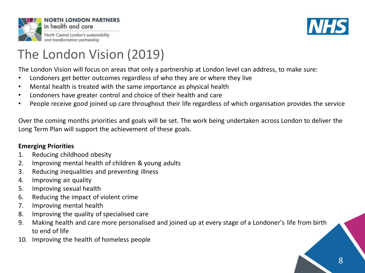



## The London Vision (2019)

The London Vision will focus on areas that only a partnership at London level can address, to make sure:

- Londoners get better outcomes regardless of who they are or where they live
- Mental health is treated with the same importance as physical health
- Londoners have greater control and choice of their health and care
- People receive good joined up care throughout their life regardless of which organisation provides the service

Over the coming months priorities and goals will be set. The work being undertaken across London to deliver the Long Term Plan will support the achievement of these goals.

#### **Emerging Priorities**

- 1. Reducing childhood obesity
- 2. Improving mental health of children & young adults
- 3. Reducing inequalities and preventing illness
- 4. Improving air quality
- 5. Improving sexual health
- 6. Reducing the impact of violent crime
- 7. Improving mental health
- 8. Improving the quality of specialised care
- 9. Making health and care more personalised and joined up at every stage of a Londoner's life from birth to end of life
- 10. Improving the health of homeless people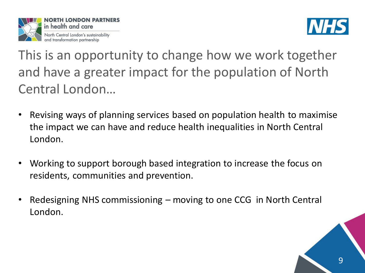



This is an opportunity to change how we work together and have a greater impact for the population of North Central London…

- Revising ways of planning services based on population health to maximise the impact we can have and reduce health inequalities in North Central London.
- Working to support borough based integration to increase the focus on residents, communities and prevention.
- Redesigning NHS commissioning moving to one CCG in North Central London.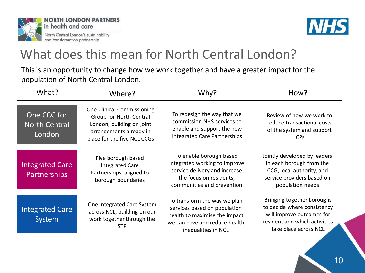



### What does this mean for North Central London?

This is an opportunity to change how we work together and have a greater impact for the population of North Central London.

| What?                                         | Where?                                                                                                                                              | Why?                                                                                                                                                  | How?                                                                                                                                             |
|-----------------------------------------------|-----------------------------------------------------------------------------------------------------------------------------------------------------|-------------------------------------------------------------------------------------------------------------------------------------------------------|--------------------------------------------------------------------------------------------------------------------------------------------------|
| One CCG for<br><b>North Central</b><br>London | <b>One Clinical Commissioning</b><br>Group for North Central<br>London, building on joint<br>arrangements already in<br>place for the five NCL CCGs | To redesign the way that we<br>commission NHS services to<br>enable and support the new<br><b>Integrated Care Partnerships</b>                        | Review of how we work to<br>reduce transactional costs<br>of the system and support<br><b>ICPs</b>                                               |
| <b>Integrated Care</b><br>Partnerships        | Five borough based<br><b>Integrated Care</b><br>Partnerships, aligned to<br>borough boundaries                                                      | To enable borough based<br>integrated working to improve<br>service delivery and increase<br>the focus on residents,<br>communities and prevention    | Jointly developed by leaders<br>in each borough from the<br>CCG, local authority, and<br>service providers based on<br>population needs          |
| <b>Integrated Care</b><br>System              | One Integrated Care System<br>across NCL, building on our<br>work together through the<br><b>STP</b>                                                | To transform the way we plan<br>services based on population<br>health to maximise the impact<br>we can have and reduce health<br>inequalities in NCL | Bringing together boroughs<br>to decide where consistency<br>will improve outcomes for<br>resident and which activities<br>take place across NCL |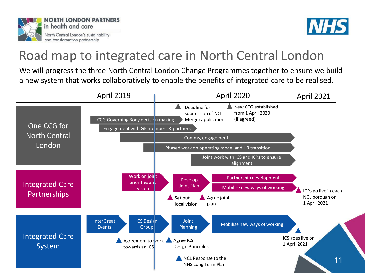



### Road map to integrated care in North Central London

We will progress the three North Central London Change Programmes together to ensure we build a new system that works collaboratively to enable the benefits of integrated care to be realised.

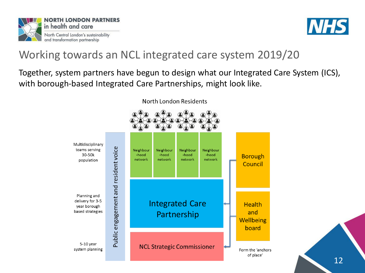



### Working towards an NCL integrated care system 2019/20

Together, system partners have begun to design what our Integrated Care System (ICS), with borough-based Integrated Care Partnerships, might look like.



North London Residents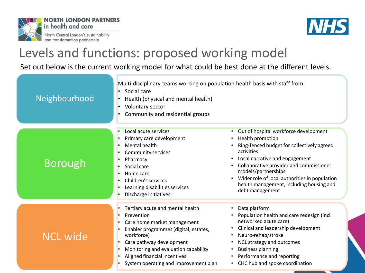



### Levels and functions: proposed working model

#### Set out below is the current working model for what could be best done at the different levels.

| Neighbourhood   | Multi-disciplinary teams working on population health basis with staff from:<br>Social care<br>$\bullet$<br>Health (physical and mental health)<br>$\bullet$<br>Voluntary sector<br>٠<br>Community and residential groups<br>٠                                                                                                                     |                                                                                                                                                                                                                                                                                                                                                        |
|-----------------|----------------------------------------------------------------------------------------------------------------------------------------------------------------------------------------------------------------------------------------------------------------------------------------------------------------------------------------------------|--------------------------------------------------------------------------------------------------------------------------------------------------------------------------------------------------------------------------------------------------------------------------------------------------------------------------------------------------------|
| <b>Borough</b>  | Local acute services<br>$\bullet$<br>Primary care development<br>Mental health<br>×<br><b>Community services</b><br>$\bullet$<br>Pharmacy<br>Social care<br>Home care<br>$\bullet$<br>Children's services<br>Learning disabilities services<br>$\bullet$<br>Discharge initiatives                                                                  | Out of hospital workforce development<br>$\bullet$<br>Health promotion<br>Ring-fenced budget for collectively agreed<br>activities<br>Local narrative and engagement<br>Collaborative provider and commissioner<br>models/partnerships<br>Wider role of local authorities in population<br>health management, including housing and<br>debt management |
| <b>NCL wide</b> | Tertiary acute and mental health<br>$\bullet$<br>Prevention<br>Care home market management<br>$\bullet$<br>Enabler programmes (digital, estates,<br>workforce)<br>Care pathway development<br>$\bullet$<br>Monitoring and evaluation capability<br>$\bullet$<br>Aligned financial incentives<br>System operating and improvement plan<br>$\bullet$ | Data platform<br>$\bullet$<br>Population health and care redesign (incl.<br>networked acute care)<br>Clinical and leadership development<br>Neuro-rehab/stroke<br>NCL strategy and outcomes<br><b>Business planning</b><br>Performance and reporting<br>CHC hub and spoke coordination                                                                 |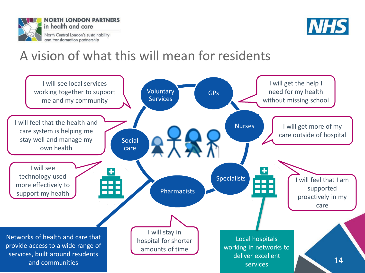



### A vision of what this will mean for residents

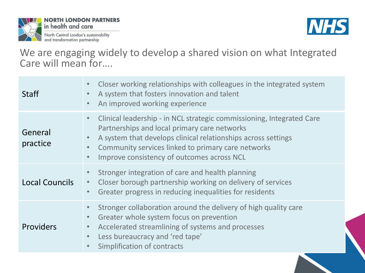



We are engaging widely to develop a shared vision on what Integrated Care will mean for….

| <b>Staff</b>          | Closer working relationships with colleagues in the integrated system<br>A system that fosters innovation and talent<br>An improved working experience                                                                                                                                                  |
|-----------------------|---------------------------------------------------------------------------------------------------------------------------------------------------------------------------------------------------------------------------------------------------------------------------------------------------------|
| General<br>practice   | Clinical leadership - in NCL strategic commissioning, Integrated Care<br>$\bullet$<br>Partnerships and local primary care networks<br>A system that develops clinical relationships across settings<br>Community services linked to primary care networks<br>Improve consistency of outcomes across NCL |
| <b>Local Councils</b> | Stronger integration of care and health planning<br>Closer borough partnership working on delivery of services<br>$\bullet$<br>Greater progress in reducing inequalities for residents<br>$\bullet$                                                                                                     |
| <b>Providers</b>      | Stronger collaboration around the delivery of high quality care<br>Greater whole system focus on prevention<br>Accelerated streamlining of systems and processes<br>Less bureaucracy and 'red tape'<br>Simplification of contracts                                                                      |